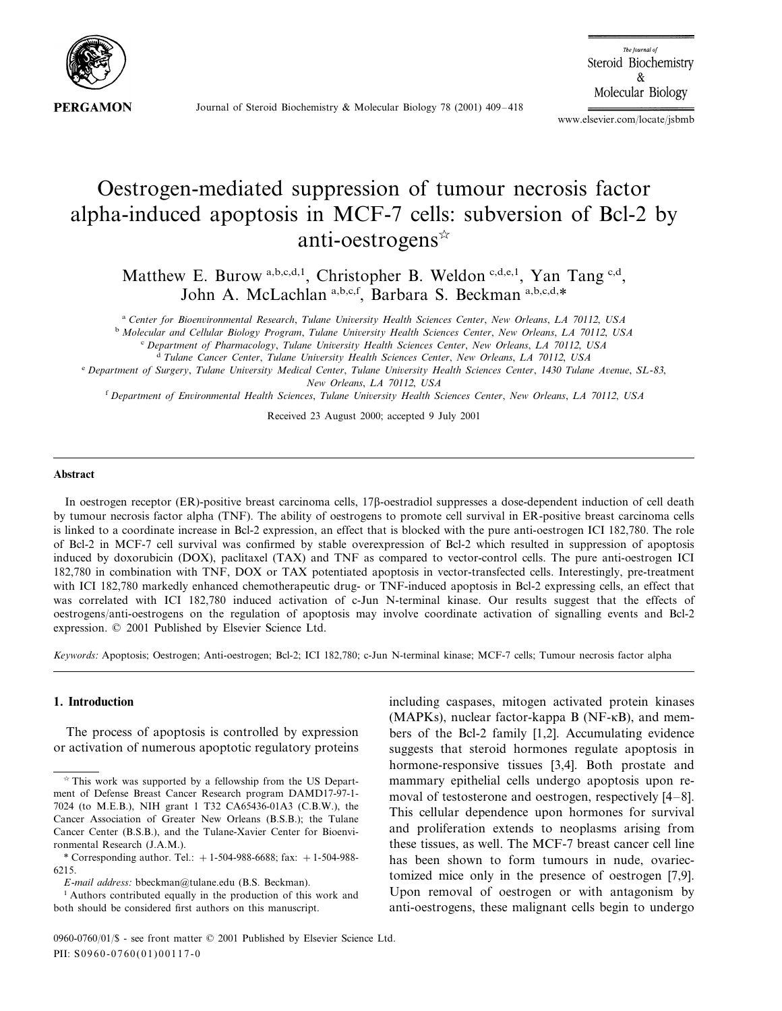

Journal of Steroid Biochemistry & Molecular Biology 78 (2001) 409–418

The lournal of Steroid Biochemistry & Molecular Biology

www.elsevier.com/locate/jsbmb

# Oestrogen-mediated suppression of tumour necrosis factor alpha-induced apoptosis in MCF-7 cells: subversion of Bcl-2 by anti-oestrogens

Matthew E. Burow a,b,c,d,1, Christopher B. Weldon c,d,e,1, Yan Tang c,d, John A. McLachlan a,b,c,f, Barbara S. Beckman a,b,c,d,\*

<sup>a</sup> *Center for Bioenironmental Research*, *Tulane Uniersity Health Sciences Center*, *New Orleans*, *LA* <sup>70112</sup>, *USA*

<sup>b</sup> *Molecular and Cellular Biology Program*, *Tulane Uniersity Health Sciences Center*, *New Orleans*, *LA* <sup>70112</sup>, *USA*

<sup>c</sup> *Department of Pharmacology*, *Tulane Uniersity Health Sciences Center*, *New Orleans*, *LA* <sup>70112</sup>, *USA*

<sup>d</sup> *Tulane Cancer Center*, *Tulane Uniersity Health Sciences Center*, *New Orleans*, *LA* <sup>70112</sup>, *USA*

<sup>e</sup> *Department of Surgery*, *Tulane Uniersity Medical Center*, *Tulane Uniersity Health Sciences Center*, <sup>1430</sup> *Tulane Aenue*, *SL*-83, *New Orleans*, *LA* 70112, *USA*

<sup>f</sup> *Department of Enironmental Health Sciences*, *Tulane Uniersity Health Sciences Center*, *New Orleans*, *LA* <sup>70112</sup>, *USA*

Received 23 August 2000; accepted 9 July 2001

#### **Abstract**

In oestrogen receptor (ER)-positive breast carcinoma cells, 17 $\beta$ -oestradiol suppresses a dose-dependent induction of cell death by tumour necrosis factor alpha (TNF). The ability of oestrogens to promote cell survival in ER-positive breast carcinoma cells is linked to a coordinate increase in Bcl-2 expression, an effect that is blocked with the pure anti-oestrogen ICI 182,780. The role of Bcl-2 in MCF-7 cell survival was confirmed by stable overexpression of Bcl-2 which resulted in suppression of apoptosis induced by doxorubicin (DOX), paclitaxel (TAX) and TNF as compared to vector-control cells. The pure anti-oestrogen ICI 182,780 in combination with TNF, DOX or TAX potentiated apoptosis in vector-transfected cells. Interestingly, pre-treatment with ICI 182,780 markedly enhanced chemotherapeutic drug- or TNF-induced apoptosis in Bcl-2 expressing cells, an effect that was correlated with ICI 182,780 induced activation of c-Jun N-terminal kinase. Our results suggest that the effects of oestrogens/anti-oestrogens on the regulation of apoptosis may involve coordinate activation of signalling events and Bcl-2 expression. © 2001 Published by Elsevier Science Ltd.

*Keywords*: Apoptosis; Oestrogen; Anti-oestrogen; Bcl-2; ICI 182,780; c-Jun N-terminal kinase; MCF-7 cells; Tumour necrosis factor alpha

#### **1. Introduction**

The process of apoptosis is controlled by expression or activation of numerous apoptotic regulatory proteins including caspases, mitogen activated protein kinases (MAPKs), nuclear factor-kappa B (NF-KB), and members of the Bcl-2 family [1,2]. Accumulating evidence suggests that steroid hormones regulate apoptosis in hormone-responsive tissues [3,4]. Both prostate and mammary epithelial cells undergo apoptosis upon removal of testosterone and oestrogen, respectively [4–8]. This cellular dependence upon hormones for survival and proliferation extends to neoplasms arising from these tissues, as well. The MCF-7 breast cancer cell line has been shown to form tumours in nude, ovariectomized mice only in the presence of oestrogen [7,9]. Upon removal of oestrogen or with antagonism by anti-oestrogens, these malignant cells begin to undergo

 $*$  This work was supported by a fellowship from the US Department of Defense Breast Cancer Research program DAMD17-97-1- 7024 (to M.E.B.), NIH grant 1 T32 CA65436-01A3 (C.B.W.), the Cancer Association of Greater New Orleans (B.S.B.); the Tulane Cancer Center (B.S.B.), and the Tulane-Xavier Center for Bioenvironmental Research (J.A.M.).

<sup>\*</sup> Corresponding author. Tel.:  $+1-504-988-6688$ ; fax:  $+1-504-988-$ 6215.

*E*-*mail address*: bbeckman@tulane.edu (B.S. Beckman).

<sup>1</sup> Authors contributed equally in the production of this work and both should be considered first authors on this manuscript.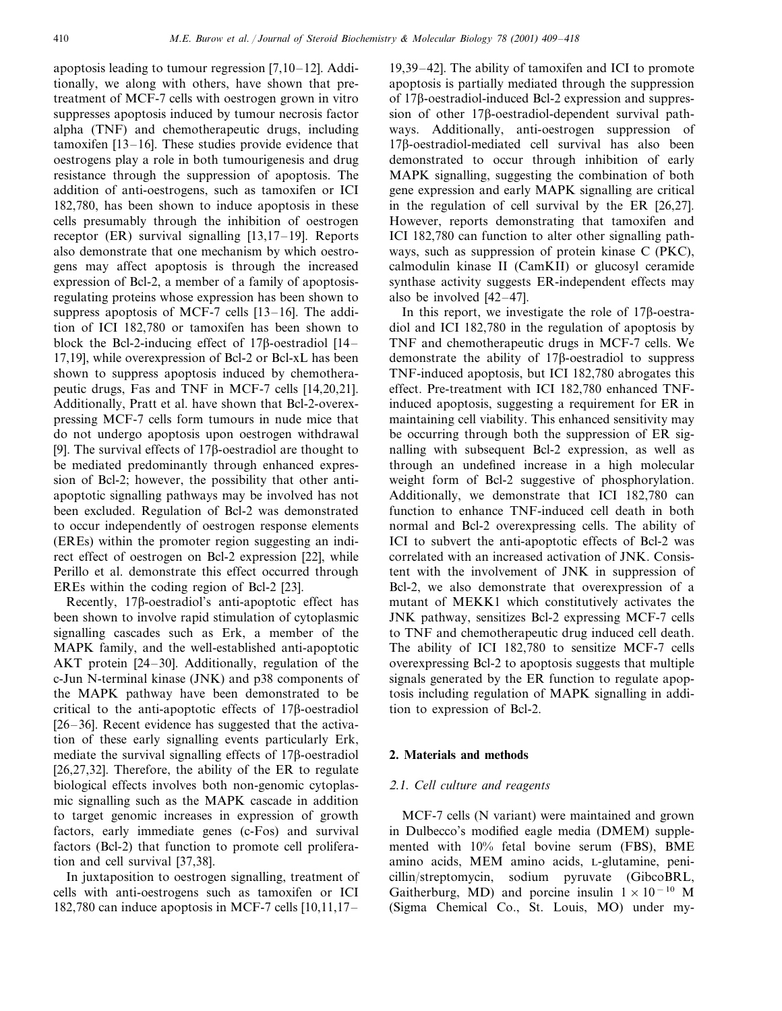apoptosis leading to tumour regression [7,10–12]. Additionally, we along with others, have shown that pretreatment of MCF-7 cells with oestrogen grown in vitro suppresses apoptosis induced by tumour necrosis factor alpha (TNF) and chemotherapeutic drugs, including tamoxifen [13–16]. These studies provide evidence that oestrogens play a role in both tumourigenesis and drug resistance through the suppression of apoptosis. The addition of anti-oestrogens, such as tamoxifen or ICI 182,780, has been shown to induce apoptosis in these cells presumably through the inhibition of oestrogen receptor (ER) survival signalling [13,17–19]. Reports also demonstrate that one mechanism by which oestrogens may affect apoptosis is through the increased expression of Bcl-2, a member of a family of apoptosisregulating proteins whose expression has been shown to suppress apoptosis of MCF-7 cells [13–16]. The addition of ICI 182,780 or tamoxifen has been shown to block the Bcl-2-inducing effect of  $17\beta$ -oestradiol  $[14-$ 17,19], while overexpression of Bcl-2 or Bcl-xL has been shown to suppress apoptosis induced by chemotherapeutic drugs, Fas and TNF in MCF-7 cells [14,20,21]. Additionally, Pratt et al. have shown that Bcl-2-overexpressing MCF-7 cells form tumours in nude mice that do not undergo apoptosis upon oestrogen withdrawal [9]. The survival effects of  $17\beta$ -oestradiol are thought to be mediated predominantly through enhanced expression of Bcl-2; however, the possibility that other antiapoptotic signalling pathways may be involved has not been excluded. Regulation of Bcl-2 was demonstrated to occur independently of oestrogen response elements (EREs) within the promoter region suggesting an indirect effect of oestrogen on Bcl-2 expression [22], while Perillo et al. demonstrate this effect occurred through EREs within the coding region of Bcl-2 [23].

Recently,  $17\beta$ -oestradiol's anti-apoptotic effect has been shown to involve rapid stimulation of cytoplasmic signalling cascades such as Erk, a member of the MAPK family, and the well-established anti-apoptotic AKT protein [24–30]. Additionally, regulation of the c-Jun N-terminal kinase (JNK) and p38 components of the MAPK pathway have been demonstrated to be critical to the anti-apoptotic effects of  $17\beta$ -oestradiol [26–36]. Recent evidence has suggested that the activation of these early signalling events particularly Erk, mediate the survival signalling effects of  $17\beta$ -oestradiol [26,27,32]. Therefore, the ability of the ER to regulate biological effects involves both non-genomic cytoplasmic signalling such as the MAPK cascade in addition to target genomic increases in expression of growth factors, early immediate genes (c-Fos) and survival factors (Bcl-2) that function to promote cell proliferation and cell survival [37,38].

In juxtaposition to oestrogen signalling, treatment of cells with anti-oestrogens such as tamoxifen or ICI 182,780 can induce apoptosis in MCF-7 cells [10,11,17–

19,39–42]. The ability of tamoxifen and ICI to promote apoptosis is partially mediated through the suppression of  $17\beta$ -oestradiol-induced Bcl-2 expression and suppression of other  $17\beta$ -oestradiol-dependent survival pathways. Additionally, anti-oestrogen suppression of 17<sub>B</sub>-oestradiol-mediated cell survival has also been demonstrated to occur through inhibition of early MAPK signalling, suggesting the combination of both gene expression and early MAPK signalling are critical in the regulation of cell survival by the ER [26,27]. However, reports demonstrating that tamoxifen and ICI 182,780 can function to alter other signalling pathways, such as suppression of protein kinase C (PKC), calmodulin kinase II (CamKII) or glucosyl ceramide synthase activity suggests ER-independent effects may also be involved [42–47].

In this report, we investigate the role of  $17\beta$ -oestradiol and ICI 182,780 in the regulation of apoptosis by TNF and chemotherapeutic drugs in MCF-7 cells. We demonstrate the ability of  $17\beta$ -oestradiol to suppress TNF-induced apoptosis, but ICI 182,780 abrogates this effect. Pre-treatment with ICI 182,780 enhanced TNFinduced apoptosis, suggesting a requirement for ER in maintaining cell viability. This enhanced sensitivity may be occurring through both the suppression of ER signalling with subsequent Bcl-2 expression, as well as through an undefined increase in a high molecular weight form of Bcl-2 suggestive of phosphorylation. Additionally, we demonstrate that ICI 182,780 can function to enhance TNF-induced cell death in both normal and Bcl-2 overexpressing cells. The ability of ICI to subvert the anti-apoptotic effects of Bcl-2 was correlated with an increased activation of JNK. Consistent with the involvement of JNK in suppression of Bcl-2, we also demonstrate that overexpression of a mutant of MEKK1 which constitutively activates the JNK pathway, sensitizes Bcl-2 expressing MCF-7 cells to TNF and chemotherapeutic drug induced cell death. The ability of ICI 182,780 to sensitize MCF-7 cells overexpressing Bcl-2 to apoptosis suggests that multiple signals generated by the ER function to regulate apoptosis including regulation of MAPK signalling in addition to expression of Bcl-2.

## **2. Materials and methods**

## <sup>2</sup>.1. *Cell culture and reagents*

MCF-7 cells (N variant) were maintained and grown in Dulbecco's modified eagle media (DMEM) supplemented with 10% fetal bovine serum (FBS), BME amino acids, MEM amino acids, L-glutamine, penicillin/streptomycin, sodium pyruvate (GibcoBRL, Gaitherburg, MD) and porcine insulin  $1 \times 10^{-10}$  M (Sigma Chemical Co., St. Louis, MO) under my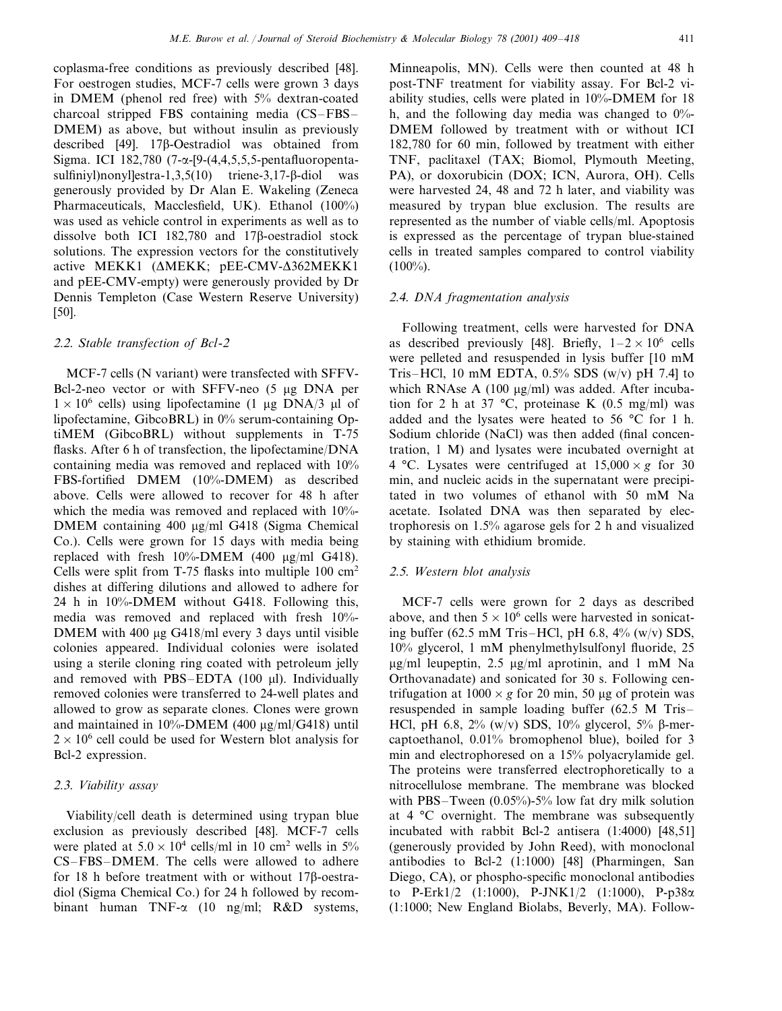coplasma-free conditions as previously described [48]. For oestrogen studies, MCF-7 cells were grown 3 days in DMEM (phenol red free) with 5% dextran-coated charcoal stripped FBS containing media (CS–FBS– DMEM) as above, but without insulin as previously described [49]. 17<sub>B</sub>-Oestradiol was obtained from Sigma. ICI 182,780 (7- $\alpha$ -[9-(4,4,5,5,5-pentafluoropentasulfiniyl)nonyl $\text{lestra-1,3,5(10)}$  triene-3,17- $\beta$ -diol was generously provided by Dr Alan E. Wakeling (Zeneca Pharmaceuticals, Macclesfield, UK). Ethanol (100%) was used as vehicle control in experiments as well as to dissolve both ICI  $182,780$  and  $17\beta$ -oestradiol stock solutions. The expression vectors for the constitutively active MEKK1 (AMEKK; pEE-CMV-A362MEKK1 and pEE-CMV-empty) were generously provided by Dr Dennis Templeton (Case Western Reserve University) [50].

# <sup>2</sup>.2. *Stable transfection of Bcl*-<sup>2</sup>

MCF-7 cells (N variant) were transfected with SFFV-Bcl-2-neo vector or with SFFV-neo  $(5 \mu g)$  DNA per  $1 \times 10^6$  cells) using lipofectamine (1 µg DNA/3 µl of lipofectamine, GibcoBRL) in 0% serum-containing OptiMEM (GibcoBRL) without supplements in T-75 flasks. After 6 h of transfection, the lipofectamine/DNA containing media was removed and replaced with 10% FBS-fortified DMEM (10%-DMEM) as described above. Cells were allowed to recover for 48 h after which the media was removed and replaced with 10%- DMEM containing  $400 \mu g/ml$  G418 (Sigma Chemical Co.). Cells were grown for 15 days with media being replaced with fresh  $10\%$ -DMEM (400  $\mu$ g/ml G418). Cells were split from T-75 flasks into multiple  $100 \text{ cm}^2$ dishes at differing dilutions and allowed to adhere for 24 h in 10%-DMEM without G418. Following this, media was removed and replaced with fresh 10%- DMEM with  $400 \mu g$  G418/ml every 3 days until visible colonies appeared. Individual colonies were isolated using a sterile cloning ring coated with petroleum jelly and removed with PBS–EDTA  $(100 \text{ µl})$ . Individually removed colonies were transferred to 24-well plates and allowed to grow as separate clones. Clones were grown and maintained in  $10\%$ -DMEM (400  $\mu$ g/ml/G418) until  $2 \times 10^6$  cell could be used for Western blot analysis for Bcl-2 expression.

## <sup>2</sup>.3. *Viability assay*

Viability/cell death is determined using trypan blue exclusion as previously described [48]. MCF-7 cells were plated at  $5.0 \times 10^4$  cells/ml in 10 cm<sup>2</sup> wells in 5% CS–FBS–DMEM. The cells were allowed to adhere for 18 h before treatment with or without  $17\beta$ -oestradiol (Sigma Chemical Co.) for 24 h followed by recombinant human TNF- $\alpha$  (10 ng/ml; R&D systems,

Minneapolis, MN). Cells were then counted at 48 h post-TNF treatment for viability assay. For Bcl-2 viability studies, cells were plated in 10%-DMEM for 18 h, and the following day media was changed to  $0\%$ -DMEM followed by treatment with or without ICI 182,780 for 60 min, followed by treatment with either TNF, paclitaxel (TAX; Biomol, Plymouth Meeting, PA), or doxorubicin (DOX; ICN, Aurora, OH). Cells were harvested 24, 48 and 72 h later, and viability was measured by trypan blue exclusion. The results are represented as the number of viable cells/ml. Apoptosis is expressed as the percentage of trypan blue-stained cells in treated samples compared to control viability  $(100\%)$ .

### <sup>2</sup>.4. *DNA fragmentation analysis*

Following treatment, cells were harvested for DNA as described previously [48]. Briefly,  $1-2 \times 10^6$  cells were pelleted and resuspended in lysis buffer [10 mM Tris–HCl, 10 mM EDTA,  $0.5\%$  SDS (w/v) pH 7.4] to which RNAse A (100  $\mu$ g/ml) was added. After incubation for 2 h at 37 °C, proteinase K (0.5 mg/ml) was added and the lysates were heated to 56 °C for 1 h. Sodium chloride (NaCl) was then added (final concentration, 1 M) and lysates were incubated overnight at 4 °C. Lysates were centrifuged at  $15,000 \times g$  for 30 min, and nucleic acids in the supernatant were precipitated in two volumes of ethanol with 50 mM Na acetate. Isolated DNA was then separated by electrophoresis on 1.5% agarose gels for 2 h and visualized by staining with ethidium bromide.

# <sup>2</sup>.5. *Western blot analysis*

MCF-7 cells were grown for 2 days as described above, and then  $5 \times 10^6$  cells were harvested in sonicating buffer (62.5 mM Tris–HCl, pH 6.8,  $4\%$  (w/v) SDS, 10% glycerol, 1 mM phenylmethylsulfonyl fluoride, 25  $\mu$ g/ml leupeptin, 2.5  $\mu$ g/ml aprotinin, and 1 mM Na Orthovanadate) and sonicated for 30 s. Following centrifugation at  $1000 \times g$  for 20 min, 50 µg of protein was resuspended in sample loading buffer (62.5 M Tris– HCl, pH 6.8,  $2\%$  (w/v) SDS,  $10\%$  glycerol,  $5\%$   $\beta$ -mercaptoethanol, 0.01% bromophenol blue), boiled for 3 min and electrophoresed on a 15% polyacrylamide gel. The proteins were transferred electrophoretically to a nitrocellulose membrane. The membrane was blocked with PBS–Tween (0.05%)-5% low fat dry milk solution at 4 °C overnight. The membrane was subsequently incubated with rabbit Bcl-2 antisera (1:4000) [48,51] (generously provided by John Reed), with monoclonal antibodies to Bcl-2 (1:1000) [48] (Pharmingen, San Diego, CA), or phospho-specific monoclonal antibodies to P-Erk1/2 (1:1000), P-JNK1/2 (1:1000), P-p38 (1:1000; New England Biolabs, Beverly, MA). Follow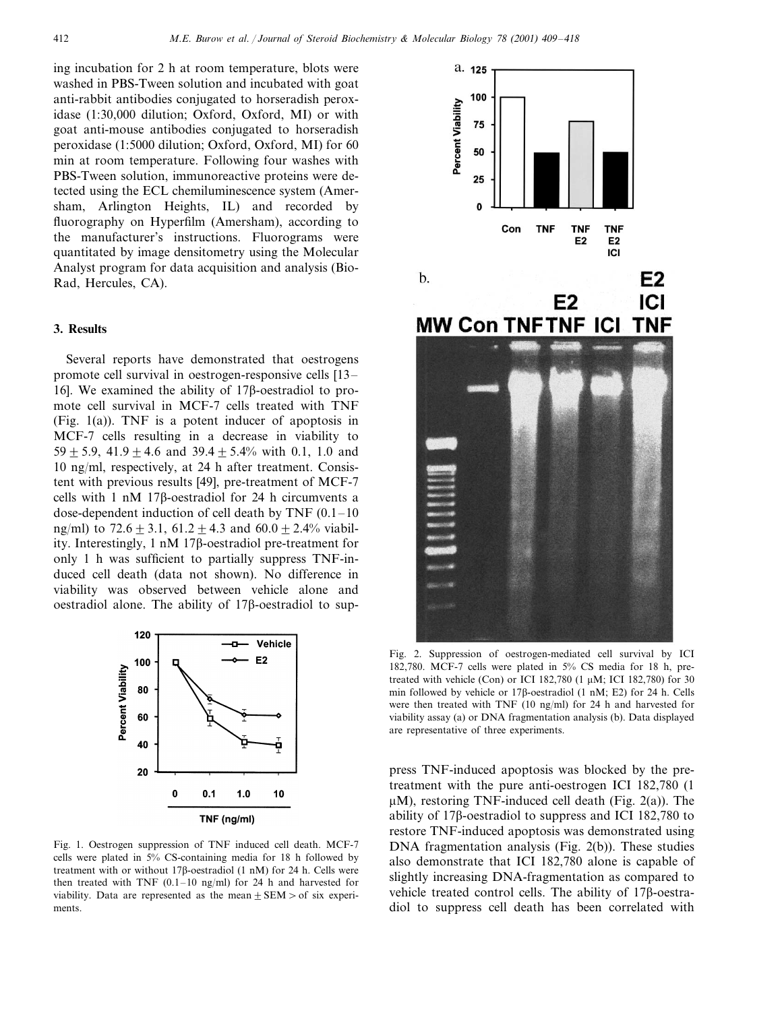ing incubation for 2 h at room temperature, blots were washed in PBS-Tween solution and incubated with goat anti-rabbit antibodies conjugated to horseradish peroxidase (1:30,000 dilution; Oxford, Oxford, MI) or with goat anti-mouse antibodies conjugated to horseradish peroxidase (1:5000 dilution; Oxford, Oxford, MI) for 60 min at room temperature. Following four washes with PBS-Tween solution, immunoreactive proteins were detected using the ECL chemiluminescence system (Amersham, Arlington Heights, IL) and recorded by fluorography on Hyperfilm (Amersham), according to the manufacturer's instructions. Fluorograms were quantitated by image densitometry using the Molecular Analyst program for data acquisition and analysis (Bio-Rad, Hercules, CA).

### **3. Results**

Several reports have demonstrated that oestrogens promote cell survival in oestrogen-responsive cells [13– 16]. We examined the ability of  $17\beta$ -oestradiol to promote cell survival in MCF-7 cells treated with TNF (Fig. 1(a)). TNF is a potent inducer of apoptosis in MCF-7 cells resulting in a decrease in viability to 59  $\pm$  5.9, 41.9  $\pm$  4.6 and 39.4  $\pm$  5.4% with 0.1, 1.0 and 10 ng/ml, respectively, at 24 h after treatment. Consistent with previous results [49], pre-treatment of MCF-7 cells with  $1 \text{ nM}$  17 $\beta$ -oestradiol for 24 h circumvents a dose-dependent induction of cell death by TNF  $(0.1-10)$ ng/ml) to  $72.6 + 3.1$ ,  $61.2 + 4.3$  and  $60.0 + 2.4\%$  viability. Interestingly,  $1 \text{ nM}$  17 $\beta$ -oestradiol pre-treatment for only 1 h was sufficient to partially suppress TNF-induced cell death (data not shown). No difference in viability was observed between vehicle alone and oestradiol alone. The ability of  $17\beta$ -oestradiol to sup-



Fig. 1. Oestrogen suppression of TNF induced cell death. MCF-7 cells were plated in 5% CS-containing media for 18 h followed by treatment with or without 17 $\beta$ -oestradiol (1 nM) for 24 h. Cells were then treated with TNF  $(0.1-10 \text{ ng/ml})$  for 24 h and harvested for viability. Data are represented as the mean  $\pm$  SEM  $>$  of six experiments.



Fig. 2. Suppression of oestrogen-mediated cell survival by ICI 182,780. MCF-7 cells were plated in 5% CS media for 18 h, pretreated with vehicle (Con) or ICI 182,780  $(1 \mu M; ICI 182,780)$  for 30 min followed by vehicle or  $17\beta$ -oestradiol (1 nM; E2) for 24 h. Cells were then treated with TNF (10 ng/ml) for 24 h and harvested for viability assay (a) or DNA fragmentation analysis (b). Data displayed are representative of three experiments.

press TNF-induced apoptosis was blocked by the pretreatment with the pure anti-oestrogen ICI 182,780 (1  $\mu$ M), restoring TNF-induced cell death (Fig. 2(a)). The ability of  $17\beta$ -oestradiol to suppress and ICI 182,780 to restore TNF-induced apoptosis was demonstrated using DNA fragmentation analysis (Fig. 2(b)). These studies also demonstrate that ICI 182,780 alone is capable of slightly increasing DNA-fragmentation as compared to vehicle treated control cells. The ability of 178-oestradiol to suppress cell death has been correlated with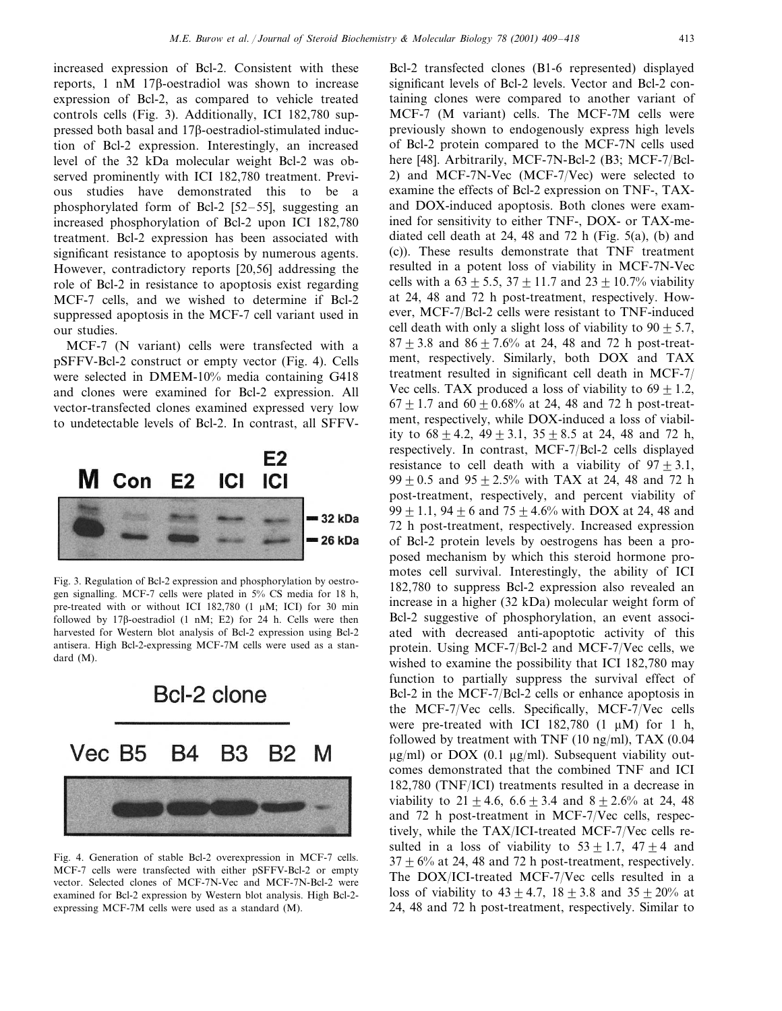increased expression of Bcl-2. Consistent with these reports,  $1 \text{ nM}$  17 $\beta$ -oestradiol was shown to increase expression of Bcl-2, as compared to vehicle treated controls cells (Fig. 3). Additionally, ICI 182,780 suppressed both basal and  $17\beta$ -oestradiol-stimulated induction of Bcl-2 expression. Interestingly, an increased level of the 32 kDa molecular weight Bcl-2 was observed prominently with ICI 182,780 treatment. Previous studies have demonstrated this to be a phosphorylated form of Bcl-2 [52–55], suggesting an increased phosphorylation of Bcl-2 upon ICI 182,780 treatment. Bcl-2 expression has been associated with significant resistance to apoptosis by numerous agents. However, contradictory reports [20,56] addressing the role of Bcl-2 in resistance to apoptosis exist regarding MCF-7 cells, and we wished to determine if Bcl-2 suppressed apoptosis in the MCF-7 cell variant used in our studies.

MCF-7 (N variant) cells were transfected with a pSFFV-Bcl-2 construct or empty vector (Fig. 4). Cells were selected in DMEM-10% media containing G418 and clones were examined for Bcl-2 expression. All vector-transfected clones examined expressed very low to undetectable levels of Bcl-2. In contrast, all SFFV-



Fig. 3. Regulation of Bcl-2 expression and phosphorylation by oestrogen signalling. MCF-7 cells were plated in 5% CS media for 18 h, pre-treated with or without ICI 182,780 (1  $\mu$ M; ICI) for 30 min followed by  $17\beta$ -oestradiol (1 nM; E2) for 24 h. Cells were then harvested for Western blot analysis of Bcl-2 expression using Bcl-2 antisera. High Bcl-2-expressing MCF-7M cells were used as a standard (M).



Fig. 4. Generation of stable Bcl-2 overexpression in MCF-7 cells. MCF-7 cells were transfected with either pSFFV-Bcl-2 or empty vector. Selected clones of MCF-7N-Vec and MCF-7N-Bcl-2 were examined for Bcl-2 expression by Western blot analysis. High Bcl-2 expressing MCF-7M cells were used as a standard (M).

Bcl-2 transfected clones (B1-6 represented) displayed significant levels of Bcl-2 levels. Vector and Bcl-2 containing clones were compared to another variant of MCF-7 (M variant) cells. The MCF-7M cells were previously shown to endogenously express high levels of Bcl-2 protein compared to the MCF-7N cells used here [48]. Arbitrarily, MCF-7N-Bcl-2 (B3; MCF-7/Bcl-2) and MCF-7N-Vec (MCF-7/Vec) were selected to examine the effects of Bcl-2 expression on TNF-, TAXand DOX-induced apoptosis. Both clones were examined for sensitivity to either TNF-, DOX- or TAX-mediated cell death at 24, 48 and 72 h (Fig. 5(a), (b) and (c)). These results demonstrate that TNF treatment resulted in a potent loss of viability in MCF-7N-Vec cells with a  $63 \pm 5.5$ ,  $37 \pm 11.7$  and  $23 \pm 10.7$ % viability at 24, 48 and 72 h post-treatment, respectively. However, MCF-7/Bcl-2 cells were resistant to TNF-induced cell death with only a slight loss of viability to  $90 + 5.7$ ,  $87 + 3.8$  and  $86 + 7.6%$  at 24, 48 and 72 h post-treatment, respectively. Similarly, both DOX and TAX treatment resulted in significant cell death in MCF-7/ Vec cells. TAX produced a loss of viability to  $69 + 1.2$ ,  $67 \pm 1.7$  and  $60 \pm 0.68$ % at 24, 48 and 72 h post-treatment, respectively, while DOX-induced a loss of viability to  $68 \pm 4.2$ ,  $49 \pm 3.1$ ,  $35 \pm 8.5$  at 24, 48 and 72 h, respectively. In contrast, MCF-7/Bcl-2 cells displayed resistance to cell death with a viability of  $97 \pm 3.1$ ,  $99 + 0.5$  and  $95 + 2.5\%$  with TAX at 24, 48 and 72 h post-treatment, respectively, and percent viability of 99  $\pm$  1.1, 94  $\pm$  6 and 75  $\pm$  4.6% with DOX at 24, 48 and 72 h post-treatment, respectively. Increased expression of Bcl-2 protein levels by oestrogens has been a proposed mechanism by which this steroid hormone promotes cell survival. Interestingly, the ability of ICI 182,780 to suppress Bcl-2 expression also revealed an increase in a higher (32 kDa) molecular weight form of Bcl-2 suggestive of phosphorylation, an event associated with decreased anti-apoptotic activity of this protein. Using MCF-7/Bcl-2 and MCF-7/Vec cells, we wished to examine the possibility that ICI 182,780 may function to partially suppress the survival effect of Bcl-2 in the MCF-7/Bcl-2 cells or enhance apoptosis in the MCF-7/Vec cells. Specifically, MCF-7/Vec cells were pre-treated with ICI 182,780  $(1 \mu M)$  for 1 h, followed by treatment with TNF  $(10 \text{ ng/ml})$ , TAX  $(0.04$  $\mu$ g/ml) or DOX (0.1  $\mu$ g/ml). Subsequent viability outcomes demonstrated that the combined TNF and ICI 182,780 (TNF/ICI) treatments resulted in a decrease in viability to  $21 + 4.6$ ,  $6.6 + 3.4$  and  $8 + 2.6$ % at 24, 48 and 72 h post-treatment in MCF-7/Vec cells, respectively, while the TAX/ICI-treated MCF-7/Vec cells resulted in a loss of viability to  $53 \pm 1.7$ ,  $47 \pm 4$  and  $37 + 6\%$  at 24, 48 and 72 h post-treatment, respectively. The DOX/ICI-treated MCF-7/Vec cells resulted in a loss of viability to  $43 + 4.7$ ,  $18 + 3.8$  and  $35 + 20\%$  at 24, 48 and 72 h post-treatment, respectively. Similar to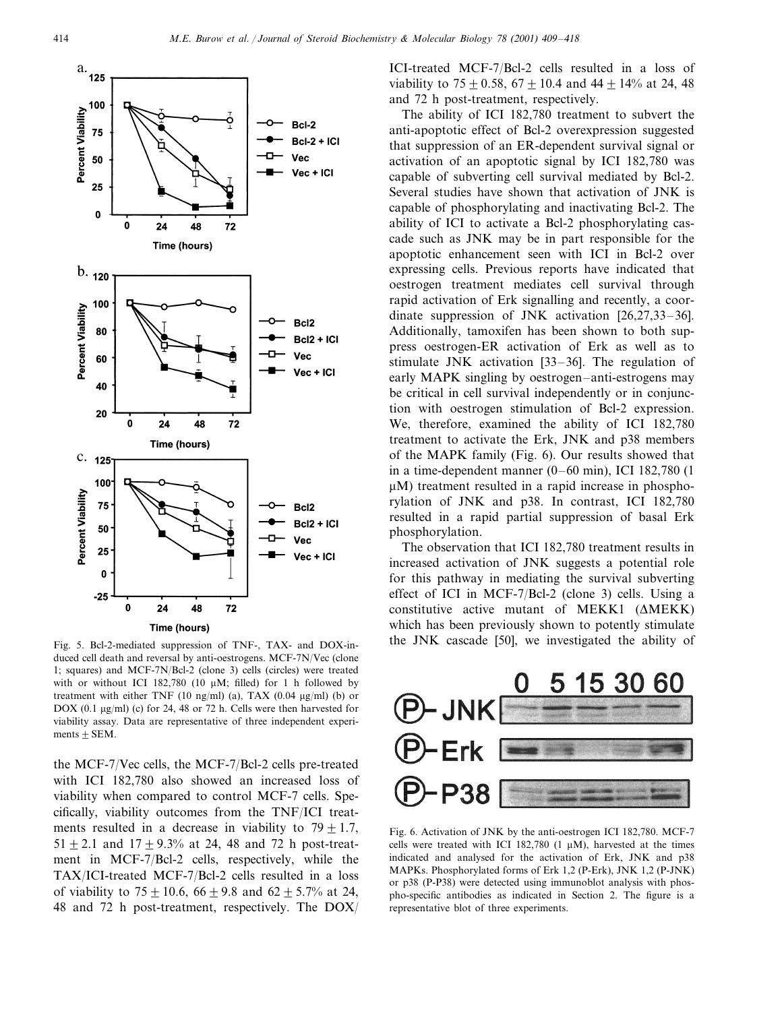

Fig. 5. Bcl-2-mediated suppression of TNF-, TAX- and DOX-induced cell death and reversal by anti-oestrogens. MCF-7N/Vec (clone 1; squares) and MCF-7N/Bcl-2 (clone 3) cells (circles) were treated with or without ICI 182,780 (10  $\mu$ M; filled) for 1 h followed by treatment with either TNF (10 ng/ml) (a), TAX (0.04  $\mu$ g/ml) (b) or DOX (0.1  $\mu$ g/ml) (c) for 24, 48 or 72 h. Cells were then harvested for viability assay. Data are representative of three independent experiments  $\pm$  SEM.

the MCF-7/Vec cells, the MCF-7/Bcl-2 cells pre-treated with ICI 182,780 also showed an increased loss of viability when compared to control MCF-7 cells. Specifically, viability outcomes from the TNF/ICI treatments resulted in a decrease in viability to  $79 + 1.7$ ,  $51 + 2.1$  and  $17 + 9.3\%$  at 24, 48 and 72 h post-treatment in MCF-7/Bcl-2 cells, respectively, while the TAX/ICI-treated MCF-7/Bcl-2 cells resulted in a loss of viability to  $75 + 10.6$ ,  $66 + 9.8$  and  $62 + 5.7%$  at 24, 48 and 72 h post-treatment, respectively. The DOX/

ICI-treated MCF-7/Bcl-2 cells resulted in a loss of viability to  $75 \pm 0.58$ ,  $67 \pm 10.4$  and  $44 \pm 14\%$  at 24, 48 and 72 h post-treatment, respectively.

The ability of ICI 182,780 treatment to subvert the anti-apoptotic effect of Bcl-2 overexpression suggested that suppression of an ER-dependent survival signal or activation of an apoptotic signal by ICI 182,780 was capable of subverting cell survival mediated by Bcl-2. Several studies have shown that activation of JNK is capable of phosphorylating and inactivating Bcl-2. The ability of ICI to activate a Bcl-2 phosphorylating cascade such as JNK may be in part responsible for the apoptotic enhancement seen with ICI in Bcl-2 over expressing cells. Previous reports have indicated that oestrogen treatment mediates cell survival through rapid activation of Erk signalling and recently, a coordinate suppression of JNK activation [26,27,33–36]. Additionally, tamoxifen has been shown to both suppress oestrogen-ER activation of Erk as well as to stimulate JNK activation [33–36]. The regulation of early MAPK singling by oestrogen–anti-estrogens may be critical in cell survival independently or in conjunction with oestrogen stimulation of Bcl-2 expression. We, therefore, examined the ability of ICI 182,780 treatment to activate the Erk, JNK and p38 members of the MAPK family (Fig. 6). Our results showed that in a time-dependent manner (0–60 min), ICI 182,780 (1  $\mu$ M) treatment resulted in a rapid increase in phosphorylation of JNK and p38. In contrast, ICI 182,780 resulted in a rapid partial suppression of basal Erk phosphorylation.

The observation that ICI 182,780 treatment results in increased activation of JNK suggests a potential role for this pathway in mediating the survival subverting effect of ICI in MCF-7/Bcl-2 (clone 3) cells. Using a constitutive active mutant of MEKK1  $(\triangle MEKK)$ which has been previously shown to potently stimulate the JNK cascade [50], we investigated the ability of



Fig. 6. Activation of JNK by the anti-oestrogen ICI 182,780. MCF-7 cells were treated with ICI 182,780 (1  $\mu$ M), harvested at the times indicated and analysed for the activation of Erk, JNK and p38 MAPKs. Phosphorylated forms of Erk 1,2 (P-Erk), JNK 1,2 (P-JNK) or p38 (P-P38) were detected using immunoblot analysis with phospho-specific antibodies as indicated in Section 2. The figure is a representative blot of three experiments.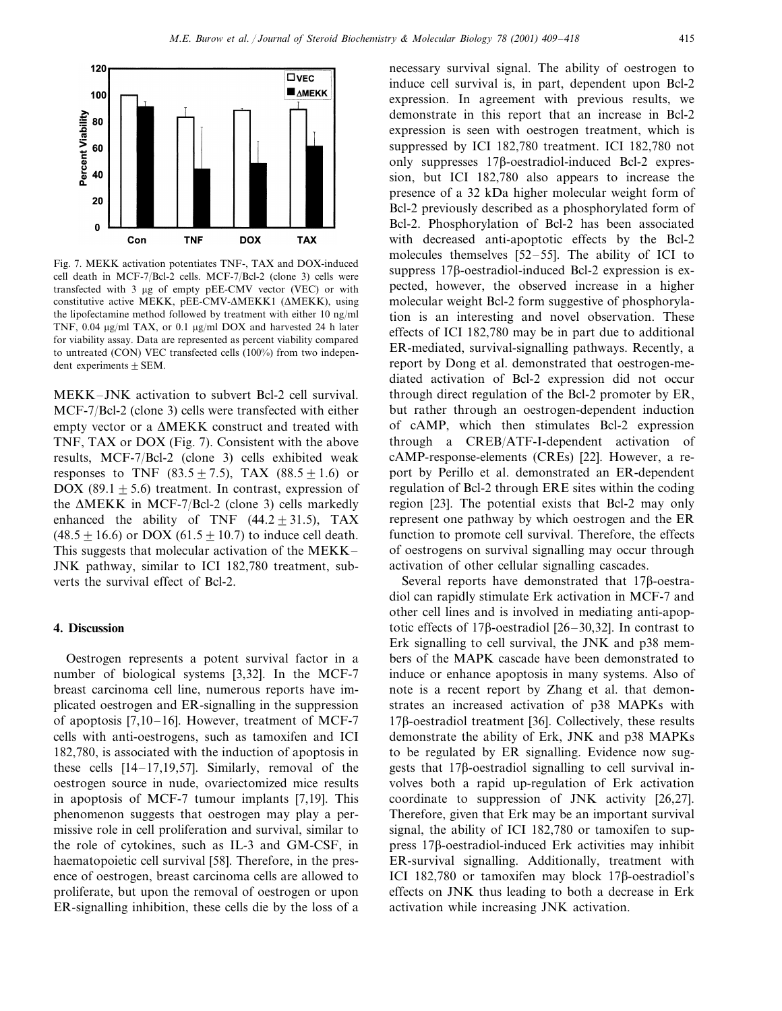

Fig. 7. MEKK activation potentiates TNF-, TAX and DOX-induced cell death in MCF-7/Bcl-2 cells. MCF-7/Bcl-2 (clone 3) cells were transfected with 3 µg of empty pEE-CMV vector (VEC) or with constitutive active MEKK, pEE-CMV- $\triangle$ MEKK1 ( $\triangle$ MEKK), using the lipofectamine method followed by treatment with either 10 ng/ml TNF,  $0.04 \mu g/ml$  TAX, or  $0.1 \mu g/ml$  DOX and harvested 24 h later for viability assay. Data are represented as percent viability compared to untreated (CON) VEC transfected cells (100%) from two independent experiments  $\pm$  SEM.

MEKK–JNK activation to subvert Bcl-2 cell survival. MCF-7/Bcl-2 (clone 3) cells were transfected with either empty vector or a MEKK construct and treated with TNF, TAX or DOX (Fig. 7). Consistent with the above results, MCF-7/Bcl-2 (clone 3) cells exhibited weak responses to TNF (83.5 $\pm$  7.5), TAX (88.5 $\pm$ 1.6) or DOX (89.1 + 5.6) treatment. In contrast, expression of the  $\triangle MEKK$  in MCF-7/Bcl-2 (clone 3) cells markedly enhanced the ability of TNF  $(44.2 \pm 31.5)$ , TAX  $(48.5 \pm 16.6)$  or DOX (61.5  $\pm$  10.7) to induce cell death. This suggests that molecular activation of the MEKK– JNK pathway, similar to ICI 182,780 treatment, subverts the survival effect of Bcl-2.

#### **4. Discussion**

Oestrogen represents a potent survival factor in a number of biological systems [3,32]. In the MCF-7 breast carcinoma cell line, numerous reports have implicated oestrogen and ER-signalling in the suppression of apoptosis [7,10–16]. However, treatment of MCF-7 cells with anti-oestrogens, such as tamoxifen and ICI 182,780, is associated with the induction of apoptosis in these cells [14–17,19,57]. Similarly, removal of the oestrogen source in nude, ovariectomized mice results in apoptosis of MCF-7 tumour implants [7,19]. This phenomenon suggests that oestrogen may play a permissive role in cell proliferation and survival, similar to the role of cytokines, such as IL-3 and GM-CSF, in haematopoietic cell survival [58]. Therefore, in the presence of oestrogen, breast carcinoma cells are allowed to proliferate, but upon the removal of oestrogen or upon ER-signalling inhibition, these cells die by the loss of a

necessary survival signal. The ability of oestrogen to induce cell survival is, in part, dependent upon Bcl-2 expression. In agreement with previous results, we demonstrate in this report that an increase in Bcl-2 expression is seen with oestrogen treatment, which is suppressed by ICI 182,780 treatment. ICI 182,780 not only suppresses  $17\beta$ -oestradiol-induced Bcl-2 expression, but ICI 182,780 also appears to increase the presence of a 32 kDa higher molecular weight form of Bcl-2 previously described as a phosphorylated form of Bcl-2. Phosphorylation of Bcl-2 has been associated with decreased anti-apoptotic effects by the Bcl-2 molecules themselves [52–55]. The ability of ICI to suppress  $17\beta$ -oestradiol-induced Bcl-2 expression is expected, however, the observed increase in a higher molecular weight Bcl-2 form suggestive of phosphorylation is an interesting and novel observation. These effects of ICI 182,780 may be in part due to additional ER-mediated, survival-signalling pathways. Recently, a report by Dong et al. demonstrated that oestrogen-mediated activation of Bcl-2 expression did not occur through direct regulation of the Bcl-2 promoter by ER, but rather through an oestrogen-dependent induction of cAMP, which then stimulates Bcl-2 expression through a CREB/ATF-I-dependent activation of cAMP-response-elements (CREs) [22]. However, a report by Perillo et al. demonstrated an ER-dependent regulation of Bcl-2 through ERE sites within the coding region [23]. The potential exists that Bcl-2 may only represent one pathway by which oestrogen and the ER function to promote cell survival. Therefore, the effects of oestrogens on survival signalling may occur through activation of other cellular signalling cascades.

Several reports have demonstrated that  $17\beta$ -oestradiol can rapidly stimulate Erk activation in MCF-7 and other cell lines and is involved in mediating anti-apoptotic effects of 17 $\beta$ -oestradiol [26–30,32]. In contrast to Erk signalling to cell survival, the JNK and p38 members of the MAPK cascade have been demonstrated to induce or enhance apoptosis in many systems. Also of note is a recent report by Zhang et al. that demonstrates an increased activation of p38 MAPKs with  $17\beta$ -oestradiol treatment [36]. Collectively, these results demonstrate the ability of Erk, JNK and p38 MAPKs to be regulated by ER signalling. Evidence now suggests that  $17\beta$ -oestradiol signalling to cell survival involves both a rapid up-regulation of Erk activation coordinate to suppression of JNK activity [26,27]. Therefore, given that Erk may be an important survival signal, the ability of ICI 182,780 or tamoxifen to suppress  $17\beta$ -oestradiol-induced Erk activities may inhibit ER-survival signalling. Additionally, treatment with ICI 182,780 or tamoxifen may block  $17\beta$ -oestradiol's effects on JNK thus leading to both a decrease in Erk activation while increasing JNK activation.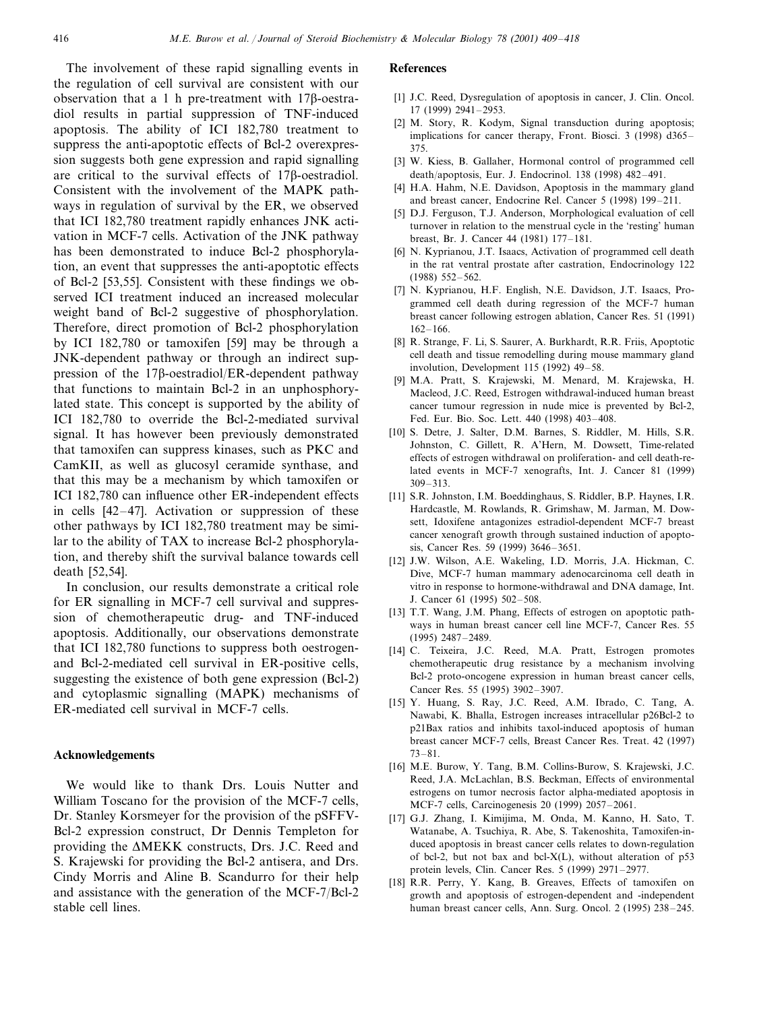The involvement of these rapid signalling events in the regulation of cell survival are consistent with our observation that a 1 h pre-treatment with  $17B$ -oestradiol results in partial suppression of TNF-induced apoptosis. The ability of ICI 182,780 treatment to suppress the anti-apoptotic effects of Bcl-2 overexpression suggests both gene expression and rapid signalling are critical to the survival effects of  $17\beta$ -oestradiol. Consistent with the involvement of the MAPK pathways in regulation of survival by the ER, we observed that ICI 182,780 treatment rapidly enhances JNK activation in MCF-7 cells. Activation of the JNK pathway has been demonstrated to induce Bcl-2 phosphorylation, an event that suppresses the anti-apoptotic effects of Bcl-2 [53,55]. Consistent with these findings we observed ICI treatment induced an increased molecular weight band of Bcl-2 suggestive of phosphorylation. Therefore, direct promotion of Bcl-2 phosphorylation by ICI 182,780 or tamoxifen [59] may be through a JNK-dependent pathway or through an indirect suppression of the  $17\beta$ -oestradiol/ER-dependent pathway that functions to maintain Bcl-2 in an unphosphorylated state. This concept is supported by the ability of ICI 182,780 to override the Bcl-2-mediated survival signal. It has however been previously demonstrated that tamoxifen can suppress kinases, such as PKC and CamKII, as well as glucosyl ceramide synthase, and that this may be a mechanism by which tamoxifen or ICI 182,780 can influence other ER-independent effects in cells [42–47]. Activation or suppression of these other pathways by ICI 182,780 treatment may be similar to the ability of TAX to increase Bcl-2 phosphorylation, and thereby shift the survival balance towards cell death [52,54].

In conclusion, our results demonstrate a critical role for ER signalling in MCF-7 cell survival and suppression of chemotherapeutic drug- and TNF-induced apoptosis. Additionally, our observations demonstrate that ICI 182,780 functions to suppress both oestrogenand Bcl-2-mediated cell survival in ER-positive cells, suggesting the existence of both gene expression (Bcl-2) and cytoplasmic signalling (MAPK) mechanisms of ER-mediated cell survival in MCF-7 cells.

#### **Acknowledgements**

We would like to thank Drs. Louis Nutter and William Toscano for the provision of the MCF-7 cells, Dr. Stanley Korsmeyer for the provision of the pSFFV-Bcl-2 expression construct, Dr Dennis Templeton for providing the MEKK constructs, Drs. J.C. Reed and S. Krajewski for providing the Bcl-2 antisera, and Drs. Cindy Morris and Aline B. Scandurro for their help and assistance with the generation of the MCF-7/Bcl-2 stable cell lines.

## **References**

- [1] J.C. Reed, Dysregulation of apoptosis in cancer, J. Clin. Oncol. 17 (1999) 2941–2953.
- [2] M. Story, R. Kodym, Signal transduction during apoptosis; implications for cancer therapy, Front. Biosci. 3 (1998) d365– 375.
- [3] W. Kiess, B. Gallaher, Hormonal control of programmed cell death/apoptosis, Eur. J. Endocrinol. 138 (1998) 482–491.
- [4] H.A. Hahm, N.E. Davidson, Apoptosis in the mammary gland and breast cancer, Endocrine Rel. Cancer 5 (1998) 199–211.
- [5] D.J. Ferguson, T.J. Anderson, Morphological evaluation of cell turnover in relation to the menstrual cycle in the 'resting' human breast, Br. J. Cancer 44 (1981) 177–181.
- [6] N. Kyprianou, J.T. Isaacs, Activation of programmed cell death in the rat ventral prostate after castration, Endocrinology 122 (1988) 552–562.
- [7] N. Kyprianou, H.F. English, N.E. Davidson, J.T. Isaacs, Programmed cell death during regression of the MCF-7 human breast cancer following estrogen ablation, Cancer Res. 51 (1991) 162–166.
- [8] R. Strange, F. Li, S. Saurer, A. Burkhardt, R.R. Friis, Apoptotic cell death and tissue remodelling during mouse mammary gland involution, Development 115 (1992) 49–58.
- [9] M.A. Pratt, S. Krajewski, M. Menard, M. Krajewska, H. Macleod, J.C. Reed, Estrogen withdrawal-induced human breast cancer tumour regression in nude mice is prevented by Bcl-2, Fed. Eur. Bio. Soc. Lett. 440 (1998) 403–408.
- [10] S. Detre, J. Salter, D.M. Barnes, S. Riddler, M. Hills, S.R. Johnston, C. Gillett, R. A'Hern, M. Dowsett, Time-related effects of estrogen withdrawal on proliferation- and cell death-related events in MCF-7 xenografts, Int. J. Cancer 81 (1999) 309–313.
- [11] S.R. Johnston, I.M. Boeddinghaus, S. Riddler, B.P. Haynes, I.R. Hardcastle, M. Rowlands, R. Grimshaw, M. Jarman, M. Dowsett, Idoxifene antagonizes estradiol-dependent MCF-7 breast cancer xenograft growth through sustained induction of apoptosis, Cancer Res. 59 (1999) 3646–3651.
- [12] J.W. Wilson, A.E. Wakeling, I.D. Morris, J.A. Hickman, C. Dive, MCF-7 human mammary adenocarcinoma cell death in vitro in response to hormone-withdrawal and DNA damage, Int. J. Cancer 61 (1995) 502–508.
- [13] T.T. Wang, J.M. Phang, Effects of estrogen on apoptotic pathways in human breast cancer cell line MCF-7, Cancer Res. 55 (1995) 2487–2489.
- [14] C. Teixeira, J.C. Reed, M.A. Pratt, Estrogen promotes chemotherapeutic drug resistance by a mechanism involving Bcl-2 proto-oncogene expression in human breast cancer cells, Cancer Res. 55 (1995) 3902–3907.
- [15] Y. Huang, S. Ray, J.C. Reed, A.M. Ibrado, C. Tang, A. Nawabi, K. Bhalla, Estrogen increases intracellular p26Bcl-2 to p21Bax ratios and inhibits taxol-induced apoptosis of human breast cancer MCF-7 cells, Breast Cancer Res. Treat. 42 (1997) 73–81.
- [16] M.E. Burow, Y. Tang, B.M. Collins-Burow, S. Krajewski, J.C. Reed, J.A. McLachlan, B.S. Beckman, Effects of environmental estrogens on tumor necrosis factor alpha-mediated apoptosis in MCF-7 cells, Carcinogenesis 20 (1999) 2057–2061.
- [17] G.J. Zhang, I. Kimijima, M. Onda, M. Kanno, H. Sato, T. Watanabe, A. Tsuchiya, R. Abe, S. Takenoshita, Tamoxifen-induced apoptosis in breast cancer cells relates to down-regulation of bcl-2, but not bax and bcl-X(L), without alteration of p53 protein levels, Clin. Cancer Res. 5 (1999) 2971–2977.
- [18] R.R. Perry, Y. Kang, B. Greaves, Effects of tamoxifen on growth and apoptosis of estrogen-dependent and -independent human breast cancer cells, Ann. Surg. Oncol. 2 (1995) 238–245.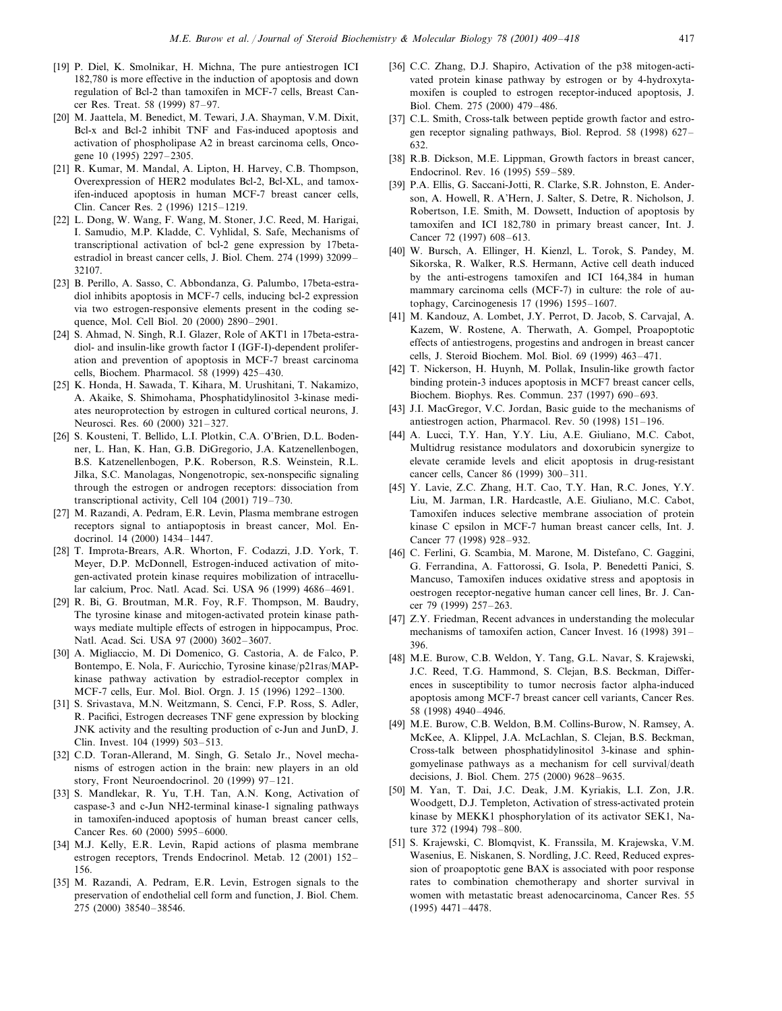- [19] P. Diel, K. Smolnikar, H. Michna, The pure antiestrogen ICI 182,780 is more effective in the induction of apoptosis and down regulation of Bcl-2 than tamoxifen in MCF-7 cells, Breast Cancer Res. Treat. 58 (1999) 87–97.
- [20] M. Jaattela, M. Benedict, M. Tewari, J.A. Shayman, V.M. Dixit, Bcl-x and Bcl-2 inhibit TNF and Fas-induced apoptosis and activation of phospholipase A2 in breast carcinoma cells, Oncogene 10 (1995) 2297–2305.
- [21] R. Kumar, M. Mandal, A. Lipton, H. Harvey, C.B. Thompson, Overexpression of HER2 modulates Bcl-2, Bcl-XL, and tamoxifen-induced apoptosis in human MCF-7 breast cancer cells, Clin. Cancer Res. 2 (1996) 1215–1219.
- [22] L. Dong, W. Wang, F. Wang, M. Stoner, J.C. Reed, M. Harigai, I. Samudio, M.P. Kladde, C. Vyhlidal, S. Safe, Mechanisms of transcriptional activation of bcl-2 gene expression by 17betaestradiol in breast cancer cells, J. Biol. Chem. 274 (1999) 32099– 32107.
- [23] B. Perillo, A. Sasso, C. Abbondanza, G. Palumbo, 17beta-estradiol inhibits apoptosis in MCF-7 cells, inducing bcl-2 expression via two estrogen-responsive elements present in the coding sequence, Mol. Cell Biol. 20 (2000) 2890–2901.
- [24] S. Ahmad, N. Singh, R.I. Glazer, Role of AKT1 in 17beta-estradiol- and insulin-like growth factor I (IGF-I)-dependent proliferation and prevention of apoptosis in MCF-7 breast carcinoma cells, Biochem. Pharmacol. 58 (1999) 425–430.
- [25] K. Honda, H. Sawada, T. Kihara, M. Urushitani, T. Nakamizo, A. Akaike, S. Shimohama, Phosphatidylinositol 3-kinase mediates neuroprotection by estrogen in cultured cortical neurons, J. Neurosci. Res. 60 (2000) 321–327.
- [26] S. Kousteni, T. Bellido, L.I. Plotkin, C.A. O'Brien, D.L. Bodenner, L. Han, K. Han, G.B. DiGregorio, J.A. Katzenellenbogen, B.S. Katzenellenbogen, P.K. Roberson, R.S. Weinstein, R.L. Jilka, S.C. Manolagas, Nongenotropic, sex-nonspecific signaling through the estrogen or androgen receptors: dissociation from transcriptional activity, Cell 104 (2001) 719–730.
- [27] M. Razandi, A. Pedram, E.R. Levin, Plasma membrane estrogen receptors signal to antiapoptosis in breast cancer, Mol. Endocrinol. 14 (2000) 1434–1447.
- [28] T. Improta-Brears, A.R. Whorton, F. Codazzi, J.D. York, T. Meyer, D.P. McDonnell, Estrogen-induced activation of mitogen-activated protein kinase requires mobilization of intracellular calcium, Proc. Natl. Acad. Sci. USA 96 (1999) 4686–4691.
- [29] R. Bi, G. Broutman, M.R. Foy, R.F. Thompson, M. Baudry, The tyrosine kinase and mitogen-activated protein kinase pathways mediate multiple effects of estrogen in hippocampus, Proc. Natl. Acad. Sci. USA 97 (2000) 3602–3607.
- [30] A. Migliaccio, M. Di Domenico, G. Castoria, A. de Falco, P. Bontempo, E. Nola, F. Auricchio, Tyrosine kinase/p21ras/MAPkinase pathway activation by estradiol-receptor complex in MCF-7 cells, Eur. Mol. Biol. Orgn. J. 15 (1996) 1292–1300.
- [31] S. Srivastava, M.N. Weitzmann, S. Cenci, F.P. Ross, S. Adler, R. Pacifici, Estrogen decreases TNF gene expression by blocking JNK activity and the resulting production of c-Jun and JunD, J. Clin. Invest. 104 (1999) 503–513.
- [32] C.D. Toran-Allerand, M. Singh, G. Setalo Jr., Novel mechanisms of estrogen action in the brain: new players in an old story, Front Neuroendocrinol. 20 (1999) 97–121.
- [33] S. Mandlekar, R. Yu, T.H. Tan, A.N. Kong, Activation of caspase-3 and c-Jun NH2-terminal kinase-1 signaling pathways in tamoxifen-induced apoptosis of human breast cancer cells, Cancer Res. 60 (2000) 5995–6000.
- [34] M.J. Kelly, E.R. Levin, Rapid actions of plasma membrane estrogen receptors, Trends Endocrinol. Metab. 12 (2001) 152– 156.
- [35] M. Razandi, A. Pedram, E.R. Levin, Estrogen signals to the preservation of endothelial cell form and function, J. Biol. Chem. 275 (2000) 38540–38546.
- [36] C.C. Zhang, D.J. Shapiro, Activation of the p38 mitogen-activated protein kinase pathway by estrogen or by 4-hydroxytamoxifen is coupled to estrogen receptor-induced apoptosis, J. Biol. Chem. 275 (2000) 479–486.
- [37] C.L. Smith, Cross-talk between peptide growth factor and estrogen receptor signaling pathways, Biol. Reprod. 58 (1998) 627– 632.
- [38] R.B. Dickson, M.E. Lippman, Growth factors in breast cancer, Endocrinol. Rev. 16 (1995) 559–589.
- [39] P.A. Ellis, G. Saccani-Jotti, R. Clarke, S.R. Johnston, E. Anderson, A. Howell, R. A'Hern, J. Salter, S. Detre, R. Nicholson, J. Robertson, I.E. Smith, M. Dowsett, Induction of apoptosis by tamoxifen and ICI 182,780 in primary breast cancer, Int. J. Cancer 72 (1997) 608–613.
- [40] W. Bursch, A. Ellinger, H. Kienzl, L. Torok, S. Pandey, M. Sikorska, R. Walker, R.S. Hermann, Active cell death induced by the anti-estrogens tamoxifen and ICI 164,384 in human mammary carcinoma cells (MCF-7) in culture: the role of autophagy, Carcinogenesis 17 (1996) 1595–1607.
- [41] M. Kandouz, A. Lombet, J.Y. Perrot, D. Jacob, S. Carvajal, A. Kazem, W. Rostene, A. Therwath, A. Gompel, Proapoptotic effects of antiestrogens, progestins and androgen in breast cancer cells, J. Steroid Biochem. Mol. Biol. 69 (1999) 463–471.
- [42] T. Nickerson, H. Huynh, M. Pollak, Insulin-like growth factor binding protein-3 induces apoptosis in MCF7 breast cancer cells, Biochem. Biophys. Res. Commun. 237 (1997) 690–693.
- [43] J.I. MacGregor, V.C. Jordan, Basic guide to the mechanisms of antiestrogen action, Pharmacol. Rev. 50 (1998) 151–196.
- [44] A. Lucci, T.Y. Han, Y.Y. Liu, A.E. Giuliano, M.C. Cabot, Multidrug resistance modulators and doxorubicin synergize to elevate ceramide levels and elicit apoptosis in drug-resistant cancer cells, Cancer 86 (1999) 300–311.
- [45] Y. Lavie, Z.C. Zhang, H.T. Cao, T.Y. Han, R.C. Jones, Y.Y. Liu, M. Jarman, I.R. Hardcastle, A.E. Giuliano, M.C. Cabot, Tamoxifen induces selective membrane association of protein kinase C epsilon in MCF-7 human breast cancer cells, Int. J. Cancer 77 (1998) 928–932.
- [46] C. Ferlini, G. Scambia, M. Marone, M. Distefano, C. Gaggini, G. Ferrandina, A. Fattorossi, G. Isola, P. Benedetti Panici, S. Mancuso, Tamoxifen induces oxidative stress and apoptosis in oestrogen receptor-negative human cancer cell lines, Br. J. Cancer 79 (1999) 257–263.
- [47] Z.Y. Friedman, Recent advances in understanding the molecular mechanisms of tamoxifen action, Cancer Invest. 16 (1998) 391– 396.
- [48] M.E. Burow, C.B. Weldon, Y. Tang, G.L. Navar, S. Krajewski, J.C. Reed, T.G. Hammond, S. Clejan, B.S. Beckman, Differences in susceptibility to tumor necrosis factor alpha-induced apoptosis among MCF-7 breast cancer cell variants, Cancer Res. 58 (1998) 4940–4946.
- [49] M.E. Burow, C.B. Weldon, B.M. Collins-Burow, N. Ramsey, A. McKee, A. Klippel, J.A. McLachlan, S. Clejan, B.S. Beckman, Cross-talk between phosphatidylinositol 3-kinase and sphingomyelinase pathways as a mechanism for cell survival/death decisions, J. Biol. Chem. 275 (2000) 9628–9635.
- [50] M. Yan, T. Dai, J.C. Deak, J.M. Kyriakis, L.I. Zon, J.R. Woodgett, D.J. Templeton, Activation of stress-activated protein kinase by MEKK1 phosphorylation of its activator SEK1, Nature 372 (1994) 798–800.
- [51] S. Krajewski, C. Blomqvist, K. Franssila, M. Krajewska, V.M. Wasenius, E. Niskanen, S. Nordling, J.C. Reed, Reduced expression of proapoptotic gene BAX is associated with poor response rates to combination chemotherapy and shorter survival in women with metastatic breast adenocarcinoma, Cancer Res. 55 (1995) 4471–4478.